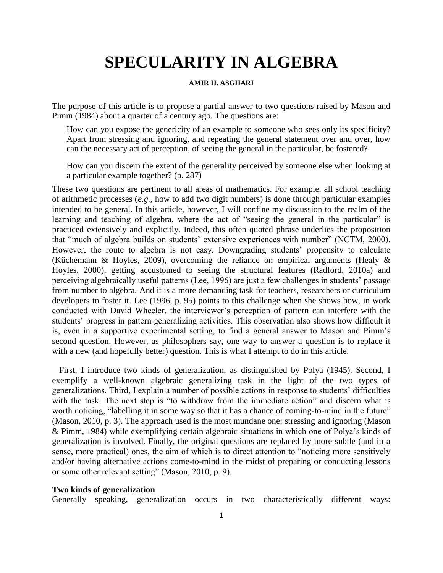# **SPECULARITY IN ALGEBRA**

## **AMIR H. ASGHARI**

The purpose of this article is to propose a partial answer to two questions raised by Mason and Pimm (1984) about a quarter of a century ago. The questions are:

How can you expose the genericity of an example to someone who sees only its specificity? Apart from stressing and ignoring, and repeating the general statement over and over, how can the necessary act of perception, of seeing the general in the particular, be fostered?

How can you discern the extent of the generality perceived by someone else when looking at a particular example together? (p. 287)

These two questions are pertinent to all areas of mathematics. For example, all school teaching of arithmetic processes (*e.g.*, how to add two digit numbers) is done through particular examples intended to be general. In this article, however, I will confine my discussion to the realm of the learning and teaching of algebra, where the act of "seeing the general in the particular" is practiced extensively and explicitly. Indeed, this often quoted phrase underlies the proposition that "much of algebra builds on students' extensive experiences with number" (NCTM, 2000). However, the route to algebra is not easy. Downgrading students' propensity to calculate (Küchemann & Hoyles, 2009), overcoming the reliance on empirical arguments (Healy & Hoyles, 2000), getting accustomed to seeing the structural features (Radford, 2010a) and perceiving algebraically useful patterns (Lee, 1996) are just a few challenges in students' passage from number to algebra. And it is a more demanding task for teachers, researchers or curriculum developers to foster it. Lee (1996, p. 95) points to this challenge when she shows how, in work conducted with David Wheeler, the interviewer's perception of pattern can interfere with the students' progress in pattern generalizing activities. This observation also shows how difficult it is, even in a supportive experimental setting, to find a general answer to Mason and Pimm's second question. However, as philosophers say, one way to answer a question is to replace it with a new (and hopefully better) question. This is what I attempt to do in this article.

First, I introduce two kinds of generalization, as distinguished by Polya (1945). Second, I exemplify a well-known algebraic generalizing task in the light of the two types of generalizations. Third, I explain a number of possible actions in response to students' difficulties with the task. The next step is "to withdraw from the immediate action" and discern what is worth noticing, "labelling it in some way so that it has a chance of coming-to-mind in the future" (Mason, 2010, p. 3). The approach used is the most mundane one: stressing and ignoring (Mason & Pimm, 1984) while exemplifying certain algebraic situations in which one of Polya's kinds of generalization is involved. Finally, the original questions are replaced by more subtle (and in a sense, more practical) ones, the aim of which is to direct attention to "noticing more sensitively and/or having alternative actions come-to-mind in the midst of preparing or conducting lessons or some other relevant setting" (Mason, 2010, p. 9).

#### **Two kinds of generalization**

Generally speaking, generalization occurs in two characteristically different ways: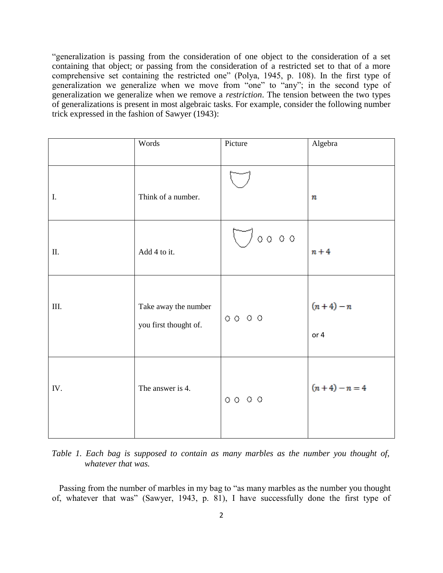"generalization is passing from the consideration of one object to the consideration of a set containing that object; or passing from the consideration of a restricted set to that of a more comprehensive set containing the restricted one" (Polya, 1945, p. 108). In the first type of generalization we generalize when we move from "one" to "any"; in the second type of generalization we generalize when we remove a *restriction*. The tension between the two types of generalizations is present in most algebraic tasks. For example, consider the following number trick expressed in the fashion of Sawyer (1943):

|      | Words                                         | Picture                                          | Algebra             |
|------|-----------------------------------------------|--------------------------------------------------|---------------------|
| I.   | Think of a number.                            |                                                  | $\boldsymbol{n}$    |
| Π.   | Add 4 to it.                                  | $\bigcup$ 0000                                   | $n + 4$             |
| III. | Take away the number<br>you first thought of. | $\circ \circ \circ \circ \circ$                  | $(n+4) - n$<br>or 4 |
| IV.  | The answer is 4.                              | $\begin{array}{ccc}\n0 & 0 & 0 & 0\n\end{array}$ | $(n+4) - n = 4$     |

*Table 1. Each bag is supposed to contain as many marbles as the number you thought of, whatever that was.*

Passing from the number of marbles in my bag to "as many marbles as the number you thought of, whatever that was" (Sawyer, 1943, p. 81), I have successfully done the first type of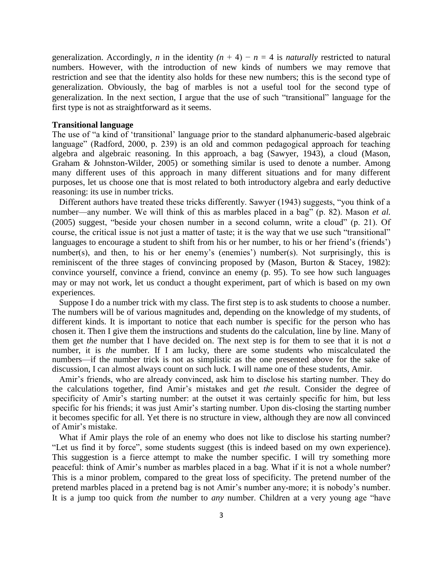generalization. Accordingly, *n* in the identity  $(n + 4) - n = 4$  is *naturally* restricted to natural numbers. However, with the introduction of new kinds of numbers we may remove that restriction and see that the identity also holds for these new numbers; this is the second type of generalization. Obviously, the bag of marbles is not a useful tool for the second type of generalization. In the next section, I argue that the use of such "transitional" language for the first type is not as straightforward as it seems.

#### **Transitional language**

The use of "a kind of 'transitional' language prior to the standard alphanumeric-based algebraic language" (Radford, 2000, p. 239) is an old and common pedagogical approach for teaching algebra and algebraic reasoning. In this approach, a bag (Sawyer, 1943), a cloud (Mason, Graham & Johnston-Wilder, 2005) or something similar is used to denote a number. Among many different uses of this approach in many different situations and for many different purposes, let us choose one that is most related to both introductory algebra and early deductive reasoning: its use in number tricks.

Different authors have treated these tricks differently. Sawyer (1943) suggests, "you think of a number—any number. We will think of this as marbles placed in a bag" (p. 82). Mason *et al.* (2005) suggest, "beside your chosen number in a second column, write a cloud" (p. 21). Of course, the critical issue is not just a matter of taste; it is the way that we use such "transitional" languages to encourage a student to shift from his or her number, to his or her friend's (friends') number(s), and then, to his or her enemy's (enemies') number(s). Not surprisingly, this is reminiscent of the three stages of convincing proposed by (Mason, Burton & Stacey, 1982): convince yourself, convince a friend, convince an enemy (p. 95). To see how such languages may or may not work, let us conduct a thought experiment, part of which is based on my own experiences.

Suppose I do a number trick with my class. The first step is to ask students to choose a number. The numbers will be of various magnitudes and, depending on the knowledge of my students, of different kinds. It is important to notice that each number is specific for the person who has chosen it. Then I give them the instructions and students do the calculation, line by line. Many of them get *the* number that I have decided on. The next step is for them to see that it is not *a* number, it is *the* number. If I am lucky, there are some students who miscalculated the numbers—if the number trick is not as simplistic as the one presented above for the sake of discussion, I can almost always count on such luck. I will name one of these students, Amir.

Amir's friends, who are already convinced, ask him to disclose his starting number. They do the calculations together, find Amir's mistakes and get *the* result. Consider the degree of specificity of Amir's starting number: at the outset it was certainly specific for him, but less specific for his friends; it was just Amir's starting number. Upon dis-closing the starting number it becomes specific for all. Yet there is no structure in view, although they are now all convinced of Amir's mistake.

What if Amir plays the role of an enemy who does not like to disclose his starting number? "Let us find it by force", some students suggest (this is indeed based on my own experience). This suggestion is a fierce attempt to make the number specific. I will try something more peaceful: think of Amir's number as marbles placed in a bag. What if it is not a whole number? This is a minor problem, compared to the great loss of specificity. The pretend number of the pretend marbles placed in a pretend bag is not Amir's number any-more; it is nobody's number. It is a jump too quick from *the* number to *any* number. Children at a very young age "have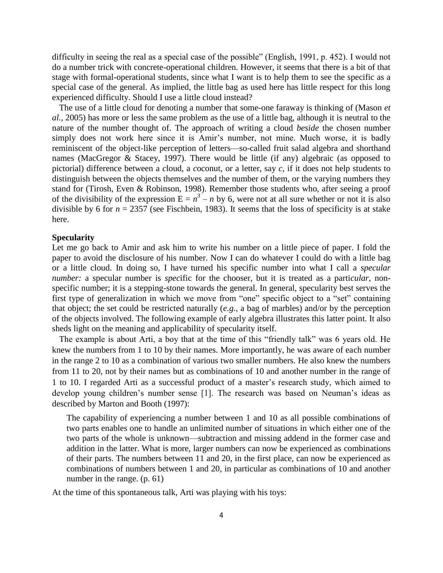difficulty in seeing the real as a special case of the possible" (English, 1991, p. 452). I would not do a number trick with concrete-operational children. However, it seems that there is a bit of that stage with formal-operational students, since what I want is to help them to see the specific as a special case of the general. As implied, the little bag as used here has little respect for this long experienced difficulty. Should I use a little cloud instead?

The use of a little cloud for denoting a number that some-one faraway is thinking of (Mason *et al.,* 2005) has more or less the same problem as the use of a little bag, although it is neutral to the nature of the number thought of. The approach of writing a cloud *beside* the chosen number simply does not work here since it is Amir's number, not mine. Much worse, it is badly reminiscent of the object-like perception of letters—so-called fruit salad algebra and shorthand names (MacGregor & Stacey, 1997). There would be little (if any) algebraic (as opposed to pictorial) difference between a *c*loud, a *c*oconut, or a letter, say *c*, if it does not help students to distinguish between the objects themselves and the number of them, or the varying numbers they stand for (Tirosh, Even & Robinson, 1998). Remember those students who, after seeing a proof of the divisibility of the expression  $E = n^3 - n$  by 6, were not at all sure whether or not it is also divisible by 6 for  $n = 2357$  (see Fischbein, 1983). It seems that the loss of specificity is at stake here.

#### **Specularity**

Let me go back to Amir and ask him to write his number on a little piece of paper. I fold the paper to avoid the disclosure of his number. Now I can do whatever I could do with a little bag or a little cloud. In doing so, I have turned his specific number into what I call a *specular number:* a specular number is *spec*ific for the chooser, but it is treated as a parti*cular,* nonspecific number; it is a stepping-stone towards the general. In general, specularity best serves the first type of generalization in which we move from "one" specific object to a "set" containing that object; the set could be restricted naturally (*e.g.,* a bag of marbles) and/or by the perception of the objects involved. The following example of early algebra illustrates this latter point. It also sheds light on the meaning and applicability of specularity itself.

The example is about Arti, a boy that at the time of this "friendly talk" was 6 years old. He knew the numbers from 1 to 10 by their names. More importantly, he was aware of each number in the range 2 to 10 as a combination of various two smaller numbers. He also knew the numbers from 11 to 20, not by their names but as combinations of 10 and another number in the range of 1 to 10. I regarded Arti as a successful product of a master's research study, which aimed to develop young children's number sense [1]. The research was based on Neuman's ideas as described by Marton and Booth (1997):

The capability of experiencing a number between 1 and 10 as all possible combinations of two parts enables one to handle an unlimited number of situations in which either one of the two parts of the whole is unknown—subtraction and missing addend in the former case and addition in the latter. What is more, larger numbers can now be experienced as combinations of their parts. The numbers between 11 and 20, in the first place, can now be experienced as combinations of numbers between 1 and 20, in particular as combinations of 10 and another number in the range. (p. 61)

At the time of this spontaneous talk, Arti was playing with his toys: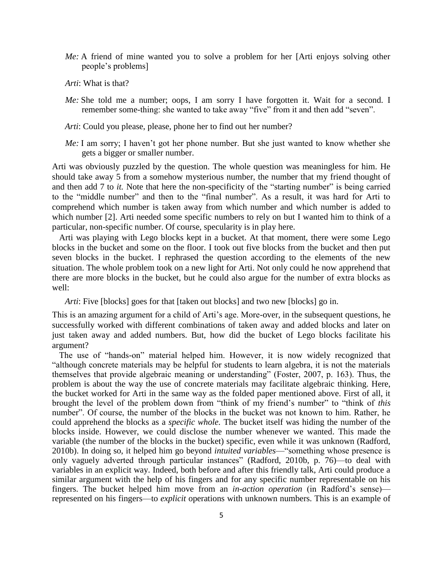- *Me:* A friend of mine wanted you to solve a problem for her [Arti enjoys solving other people's problems]
- *Arti*: What is that?
- *Me:* She told me a number; oops, I am sorry I have forgotten it. Wait for a second. I remember some-thing: she wanted to take away "five" from it and then add "seven".
- *Arti*: Could you please, please, phone her to find out her number?
- *Me:* I am sorry; I haven't got her phone number. But she just wanted to know whether she gets a bigger or smaller number.

Arti was obviously puzzled by the question. The whole question was meaningless for him. He should take away 5 from a somehow mysterious number, the number that my friend thought of and then add 7 to *it*. Note that here the non-specificity of the "starting number" is being carried to the "middle number" and then to the "final number". As a result, it was hard for Arti to comprehend which number is taken away from which number and which number is added to which number [2]. Arti needed some specific numbers to rely on but I wanted him to think of a particular, non-specific number. Of course, specularity is in play here.

Arti was playing with Lego blocks kept in a bucket. At that moment, there were some Lego blocks in the bucket and some on the floor. I took out five blocks from the bucket and then put seven blocks in the bucket. I rephrased the question according to the elements of the new situation. The whole problem took on a new light for Arti. Not only could he now apprehend that there are more blocks in the bucket, but he could also argue for the number of extra blocks as well:

*Arti*: Five [blocks] goes for that [taken out blocks] and two new [blocks] go in.

This is an amazing argument for a child of Arti's age. More-over, in the subsequent questions, he successfully worked with different combinations of taken away and added blocks and later on just taken away and added numbers. But, how did the bucket of Lego blocks facilitate his argument?

The use of "hands-on" material helped him. However, it is now widely recognized that "although concrete materials may be helpful for students to learn algebra, it is not the materials themselves that provide algebraic meaning or understanding" (Foster, 2007, p. 163). Thus, the problem is about the way the use of concrete materials may facilitate algebraic thinking. Here, the bucket worked for Arti in the same way as the folded paper mentioned above. First of all, it brought the level of the problem down from "think of my friend's number" to "think of *this* number". Of course, the number of the blocks in the bucket was not known to him. Rather, he could apprehend the blocks as a *specific whole.* The bucket itself was hiding the number of the blocks inside. However, we could disclose the number whenever we wanted. This made the variable (the number of the blocks in the bucket) specific, even while it was unknown (Radford, 2010b). In doing so, it helped him go beyond *intuited variables*—"something whose presence is only vaguely adverted through particular instances" (Radford, 2010b, p. 76)—to deal with variables in an explicit way. Indeed, both before and after this friendly talk, Arti could produce a similar argument with the help of his fingers and for any specific number representable on his fingers. The bucket helped him move from an *in-action operation* (in Radford's sense) represented on his fingers—to *explicit* operations with unknown numbers. This is an example of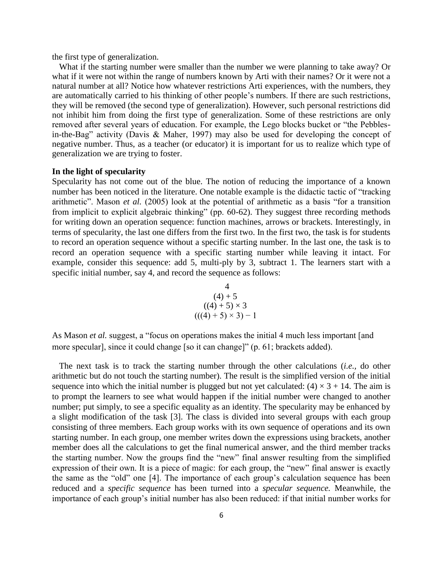the first type of generalization.

What if the starting number were smaller than the number we were planning to take away? Or what if it were not within the range of numbers known by Arti with their names? Or it were not a natural number at all? Notice how whatever restrictions Arti experiences, with the numbers, they are automatically carried to his thinking of other people's numbers. If there are such restrictions, they will be removed (the second type of generalization). However, such personal restrictions did not inhibit him from doing the first type of generalization. Some of these restrictions are only removed after several years of education. For example, the Lego blocks bucket or "the Pebblesin-the-Bag" activity (Davis & Maher, 1997) may also be used for developing the concept of negative number. Thus, as a teacher (or educator) it is important for us to realize which type of generalization we are trying to foster.

## **In the light of specularity**

Specularity has not come out of the blue. The notion of reducing the importance of a known number has been noticed in the literature. One notable example is the didactic tactic of "tracking arithmetic". Mason *et al.* (2005) look at the potential of arithmetic as a basis "for a transition from implicit to explicit algebraic thinking" (pp. 60-62). They suggest three recording methods for writing down an operation sequence: function machines, arrows or brackets. Interestingly, in terms of specularity, the last one differs from the first two. In the first two, the task is for students to record an operation sequence without a specific starting number. In the last one, the task is to record an operation sequence with a specific starting number while leaving it intact. For example, consider this sequence: add 5, multi-ply by 3, subtract 1. The learners start with a specific initial number, say 4, and record the sequence as follows:

 4 (4) + 5 ((4) + 5) × 3 (((4) + 5) × 3) − 1

As Mason *et al.* suggest, a "focus on operations makes the initial 4 much less important [and more specular], since it could change [so it can change]" (p. 61; brackets added).

The next task is to track the starting number through the other calculations (*i.e.,* do other arithmetic but do not touch the starting number). The result is the simplified version of the initial sequence into which the initial number is plugged but not yet calculated:  $(4) \times 3 + 14$ . The aim is to prompt the learners to see what would happen if the initial number were changed to another number; put simply, to see a specific equality as an identity. The specularity may be enhanced by a slight modification of the task [3]. The class is divided into several groups with each group consisting of three members. Each group works with its own sequence of operations and its own starting number. In each group, one member writes down the expressions using brackets, another member does all the calculations to get the final numerical answer, and the third member tracks the starting number. Now the groups find the "new" final answer resulting from the simplified expression of their own. It is a piece of magic: for each group, the "new" final answer is exactly the same as the "old" one [4]. The importance of each group's calculation sequence has been reduced and a *specific sequence* has been turned into a *specular sequence.* Meanwhile, the importance of each group's initial number has also been reduced: if that initial number works for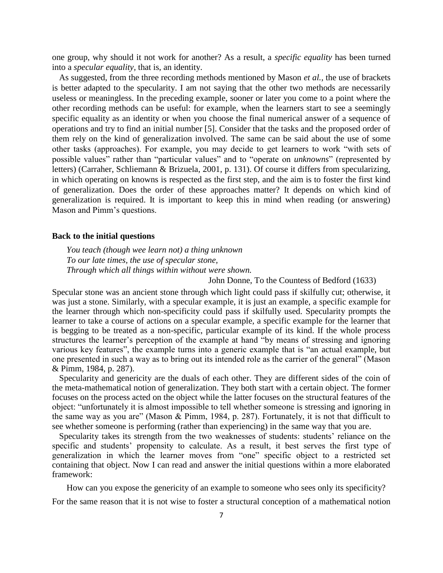one group, why should it not work for another? As a result, a *specific equality* has been turned into a *specular equality,* that is, an identity.

As suggested, from the three recording methods mentioned by Mason *et al.,* the use of brackets is better adapted to the specularity. I am not saying that the other two methods are necessarily useless or meaningless. In the preceding example, sooner or later you come to a point where the other recording methods can be useful: for example, when the learners start to see a seemingly specific equality as an identity or when you choose the final numerical answer of a sequence of operations and try to find an initial number [5]. Consider that the tasks and the proposed order of them rely on the kind of generalization involved. The same can be said about the use of some other tasks (approaches). For example, you may decide to get learners to work "with sets of possible values" rather than "particular values" and to "operate on *unknowns*" (represented by letters) (Carraher, Schliemann & Brizuela, 2001, p. 131). Of course it differs from specularizing, in which operating on knowns is respected as the first step, and the aim is to foster the first kind of generalization. Does the order of these approaches matter? It depends on which kind of generalization is required. It is important to keep this in mind when reading (or answering) Mason and Pimm's questions.

#### **Back to the initial questions**

*You teach (though wee learn not) a thing unknown To our late times, the use of specular stone, Through which all things within without were shown.*

John Donne, To the Countess of Bedford (1633)

Specular stone was an ancient stone through which light could pass if skilfully cut; otherwise, it was just a stone. Similarly, with a specular example, it is just an example, a specific example for the learner through which non-specificity could pass if skilfully used. Specularity prompts the learner to take a course of actions on a specular example, a specific example for the learner that is begging to be treated as a non-specific, particular example of its kind. If the whole process structures the learner's perception of the example at hand "by means of stressing and ignoring various key features", the example turns into a generic example that is "an actual example, but one presented in such a way as to bring out its intended role as the carrier of the general" (Mason & Pimm, 1984, p. 287).

Specularity and genericity are the duals of each other. They are different sides of the coin of the meta-mathematical notion of generalization. They both start with a certain object. The former focuses on the process acted on the object while the latter focuses on the structural features of the object: "unfortunately it is almost impossible to tell whether someone is stressing and ignoring in the same way as you are" (Mason & Pimm, 1984, p. 287). Fortunately, it is not that difficult to see whether someone is performing (rather than experiencing) in the same way that you are.

Specularity takes its strength from the two weaknesses of students: students' reliance on the specific and students' propensity to calculate. As a result, it best serves the first type of generalization in which the learner moves from "one" specific object to a restricted set containing that object. Now I can read and answer the initial questions within a more elaborated framework:

How can you expose the genericity of an example to someone who sees only its specificity?

For the same reason that it is not wise to foster a structural conception of a mathematical notion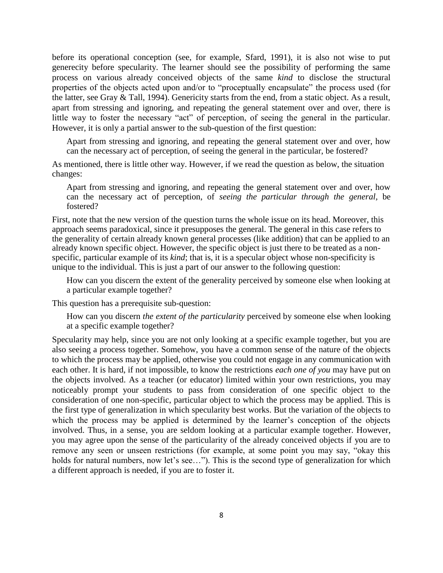before its operational conception (see, for example, Sfard, 1991), it is also not wise to put generecity before specularity. The learner should see the possibility of performing the same process on various already conceived objects of the same *kind* to disclose the structural properties of the objects acted upon and/or to "proceptually encapsulate" the process used (for the latter, see Gray & Tall, 1994). Genericity starts from the end, from a static object. As a result, apart from stressing and ignoring, and repeating the general statement over and over, there is little way to foster the necessary "act" of perception, of seeing the general in the particular. However, it is only a partial answer to the sub-question of the first question:

Apart from stressing and ignoring, and repeating the general statement over and over, how can the necessary act of perception, of seeing the general in the particular, be fostered?

As mentioned, there is little other way. However, if we read the question as below, the situation changes:

Apart from stressing and ignoring, and repeating the general statement over and over, how can the necessary act of perception, of *seeing the particular through the general,* be fostered?

First, note that the new version of the question turns the whole issue on its head. Moreover, this approach seems paradoxical, since it presupposes the general. The general in this case refers to the generality of certain already known general processes (like addition) that can be applied to an already known specific object. However, the specific object is just there to be treated as a nonspecific, particular example of its *kind*; that is, it is a specular object whose non-specificity is unique to the individual. This is just a part of our answer to the following question:

How can you discern the extent of the generality perceived by someone else when looking at a particular example together?

This question has a prerequisite sub-question:

How can you discern *the extent of the particularity* perceived by someone else when looking at a specific example together?

Specularity may help, since you are not only looking at a specific example together, but you are also seeing a process together. Somehow, you have a common sense of the nature of the objects to which the process may be applied, otherwise you could not engage in any communication with each other. It is hard, if not impossible, to know the restrictions *each one of you* may have put on the objects involved. As a teacher (or educator) limited within your own restrictions, you may noticeably prompt your students to pass from consideration of one specific object to the consideration of one non-specific, particular object to which the process may be applied. This is the first type of generalization in which specularity best works. But the variation of the objects to which the process may be applied is determined by the learner's conception of the objects involved. Thus, in a sense, you are seldom looking at a particular example together. However, you may agree upon the sense of the particularity of the already conceived objects if you are to remove any seen or unseen restrictions (for example, at some point you may say, "okay this holds for natural numbers, now let's see..."). This is the second type of generalization for which a different approach is needed, if you are to foster it.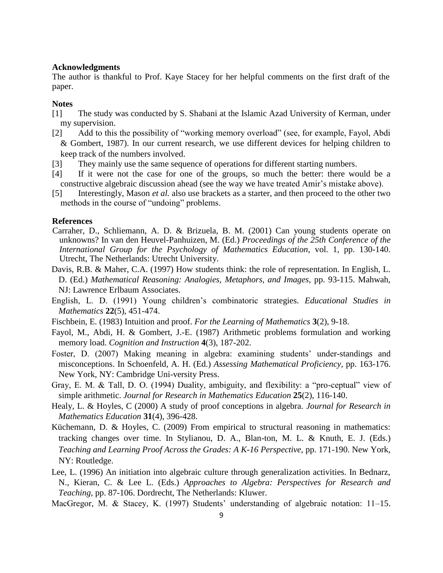## **Acknowledgments**

The author is thankful to Prof. Kaye Stacey for her helpful comments on the first draft of the paper.

#### **Notes**

- [1] The study was conducted by S. Shabani at the Islamic Azad University of Kerman, under my supervision.
- [2] Add to this the possibility of "working memory overload" (see, for example, Fayol, Abdi & Gombert, 1987). In our current research, we use different devices for helping children to keep track of the numbers involved.
- [3] They mainly use the same sequence of operations for different starting numbers.
- [4] If it were not the case for one of the groups, so much the better: there would be a constructive algebraic discussion ahead (see the way we have treated Amir's mistake above).
- [5] Interestingly, Mason *et al.* also use brackets as a starter, and then proceed to the other two methods in the course of "undoing" problems.

#### **References**

- Carraher, D., Schliemann, A. D. & Brizuela, B. M. (2001) Can young students operate on unknowns? In van den Heuvel-Panhuizen, M. (Ed.) *Proceedings of the 25th Conference of the International Group for the Psychology of Mathematics Education,* vol. 1, pp. 130-140. Utrecht, The Netherlands: Utrecht University.
- Davis, R.B. & Maher, C.A. (1997) How students think: the role of representation. In English, L. D. (Ed.) *Mathematical Reasoning: Analogies, Metaphors, and Images,* pp. 93-115. Mahwah, NJ: Lawrence Erlbaum Associates.
- English, L. D. (1991) Young children's combinatoric strategies. *Educational Studies in Mathematics* **22**(5), 451-474.
- Fischbein, E. (1983) Intuition and proof. *For the Learning of Mathematics* **3**(2), 9-18.
- Fayol, M., Abdi, H. & Gombert, J.-E. (1987) Arithmetic problems formulation and working memory load. *Cognition and Instruction* **4**(3), 187-202.
- Foster, D. (2007) Making meaning in algebra: examining students' under-standings and misconceptions. In Schoenfeld, A. H. (Ed.) *Assessing Mathematical Proficiency,* pp. 163-176. New York, NY: Cambridge Uni-versity Press.
- Gray, E. M. & Tall, D. O. (1994) Duality, ambiguity, and flexibility: a "pro-ceptual" view of simple arithmetic. *Journal for Research in Mathematics Education* **25**(2), 116-140.
- Healy, L. & Hoyles, C (2000) A study of proof conceptions in algebra. *Journal for Research in Mathematics Education* **31**(4), 396-428.
- Küchemann, D. & Hoyles, C. (2009) From empirical to structural reasoning in mathematics: tracking changes over time. In Stylianou, D. A., Blan-ton, M. L. & Knuth, E. J. (Eds.) *Teaching and Learning Proof Across the Grades: A K-16 Perspective,* pp. 171-190. New York, NY: Routledge.
- Lee, L. (1996) An initiation into algebraic culture through generalization activities. In Bednarz, N., Kieran, C. & Lee L. (Eds.) *Approaches to Algebra: Perspectives for Research and Teaching,* pp. 87-106. Dordrecht, The Netherlands: Kluwer.

MacGregor, M. & Stacey, K. (1997) Students' understanding of algebraic notation: 11–15.